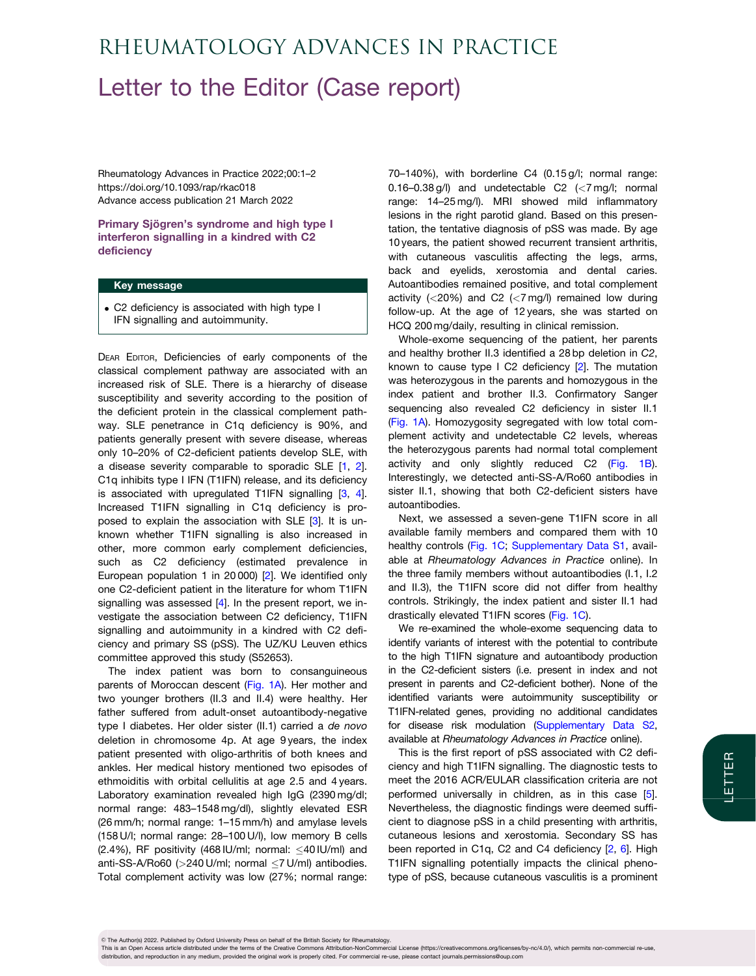# <span id="page-0-0"></span>Letter to the Editor (Case report) Rheumatology Advances in Practice

Rheumatology Advances in Practice 2022;00:1–2 https://doi.org/10.1093/rap/rkac018 Advance access publication 21 March 2022

Primary Sjögren's syndrome and high type I interferon signalling in a kindred with C2 deficiency

#### Key message

. C2 deficiency is associated with high type I IFN signalling and autoimmunity.

DEAR EDITOR, Deficiencies of early components of the classical complement pathway are associated with an increased risk of SLE. There is a hierarchy of disease susceptibility and severity according to the position of the deficient protein in the classical complement pathway. SLE penetrance in C1q deficiency is 90%, and patients generally present with severe disease, whereas only 10–20% of C2-deficient patients develop SLE, with a disease severity comparable to sporadic SLE [[1,](#page-2-0) [2](#page-2-0)]. C1q inhibits type I IFN (T1IFN) release, and its deficiency is associated with upregulated T1IFN signalling [[3](#page-2-0), [4](#page-2-0)]. Increased T1IFN signalling in C1q deficiency is proposed to explain the association with SLE [\[3\]](#page-2-0). It is unknown whether T1IFN signalling is also increased in other, more common early complement deficiencies, such as C2 deficiency (estimated prevalence in European population 1 in 20 000) [[2](#page-2-0)]. We identified only one C2-deficient patient in the literature for whom T1IFN signalling was assessed [[4\]](#page-2-0). In the present report, we investigate the association between C2 deficiency, T1IFN signalling and autoimmunity in a kindred with C2 deficiency and primary SS (pSS). The UZ/KU Leuven ethics committee approved this study (S52653).

The index patient was born to consanguineous parents of Moroccan descent [\(Fig. 1A\)](#page-1-0). Her mother and two younger brothers (II.3 and II.4) were healthy. Her father suffered from adult-onset autoantibody-negative type I diabetes. Her older sister (II.1) carried a de novo deletion in chromosome 4p. At age 9 years, the index patient presented with oligo-arthritis of both knees and ankles. Her medical history mentioned two episodes of ethmoiditis with orbital cellulitis at age 2.5 and 4 years. Laboratory examination revealed high IgG (2390 mg/dl; normal range: 483–1548 mg/dl), slightly elevated ESR (26 mm/h; normal range: 1–15 mm/h) and amylase levels (158 U/l; normal range: 28–100 U/l), low memory B cells (2.4%), RF positivity (468 IU/ml; normal:  $\leq$ 40 IU/ml) and anti-SS-A/Ro60 (>240 U/ml; normal ≤7 U/ml) antibodies. Total complement activity was low (27%; normal range:

70–140%), with borderline C4 (0.15 g/l; normal range: 0.16–0.38 g/l) and undetectable C2 (<7 mg/l; normal range: 14–25 mg/l). MRI showed mild inflammatory lesions in the right parotid gland. Based on this presentation, the tentative diagnosis of pSS was made. By age 10 years, the patient showed recurrent transient arthritis, with cutaneous vasculitis affecting the legs, arms, back and eyelids, xerostomia and dental caries. Autoantibodies remained positive, and total complement activity ( $\langle$ 20%) and C2 ( $\langle$ 7 mg/l) remained low during follow-up. At the age of 12 years, she was started on HCQ 200 mg/daily, resulting in clinical remission.

Whole-exome sequencing of the patient, her parents and healthy brother II.3 identified a 28 bp deletion in C2, known to cause type I C2 deficiency [\[2\]](#page-2-0). The mutation was heterozygous in the parents and homozygous in the index patient and brother II.3. Confirmatory Sanger sequencing also revealed C2 deficiency in sister II.1 ([Fig. 1A\)](#page-1-0). Homozygosity segregated with low total complement activity and undetectable C2 levels, whereas the heterozygous parents had normal total complement activity and only slightly reduced C2 ([Fig. 1B](#page-1-0)). Interestingly, we detected anti-SS-A/Ro60 antibodies in sister II.1, showing that both C2-deficient sisters have autoantibodies.

Next, we assessed a seven-gene T1IFN score in all available family members and compared them with 10 healthy controls [\(Fig. 1C](#page-1-0); [Supplementary Data S1,](https://academic.oup.com/rheumap/article-lookup/doi/10.1093/rap/rkac018#supplementary-data) available at Rheumatology Advances in Practice online). In the three family members without autoantibodies (I.1, I.2 and II.3), the T1IFN score did not differ from healthy controls. Strikingly, the index patient and sister II.1 had drastically elevated T1IFN scores ([Fig. 1C\)](#page-1-0).

We re-examined the whole-exome sequencing data to identify variants of interest with the potential to contribute to the high T1IFN signature and autoantibody production in the C2-deficient sisters (i.e. present in index and not present in parents and C2-deficient bother). None of the identified variants were autoimmunity susceptibility or T1IFN-related genes, providing no additional candidates for disease risk modulation ([Supplementary Data S2,](https://academic.oup.com/rheumap/article-lookup/doi/10.1093/rap/rkac018#supplementary-data) available at Rheumatology Advances in Practice online).

This is the first report of pSS associated with C2 deficiency and high T1IFN signalling. The diagnostic tests to meet the 2016 ACR/EULAR classification criteria are not performed universally in children, as in this case [[5](#page-2-0)]. Nevertheless, the diagnostic findings were deemed sufficient to diagnose pSS in a child presenting with arthritis, cutaneous lesions and xerostomia. Secondary SS has been reported in C1q, C2 and C4 deficiency [[2](#page-2-0), [6\]](#page-2-0). High T1IFN signalling potentially impacts the clinical phenotype of pSS, because cutaneous vasculitis is a prominent

V<sup>C</sup> The Author(s) 2022. Published by Oxford University Press on behalf of the British Society for Rheumatology.

This is an Open Access article distributed under the terms of the Creative Commons Attribution-NonCommercial License (https://creativecommons.org/licenses/by-nc/4.0/), which permits non-commercial re-use distribution, and reproduction in any medium, provided the original work is properly cited. For commercial re-use, please contact journals.permissions@oup.com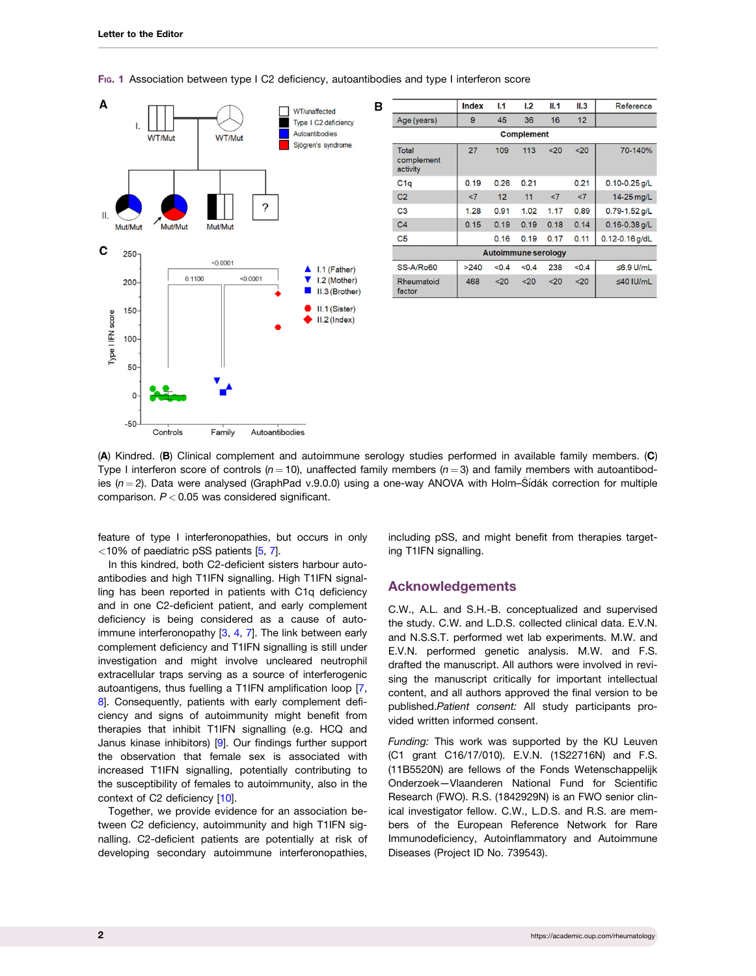<span id="page-1-0"></span>

|  |  |  |  |  |  |  |  | Fig. 1 Association between type I C2 deficiency, autoantibodies and type I interferon score |
|--|--|--|--|--|--|--|--|---------------------------------------------------------------------------------------------|
|--|--|--|--|--|--|--|--|---------------------------------------------------------------------------------------------|

|                                 | Index | L1    | 1.2   | II.1 | II.3  | Reference          |  |  |  |  |
|---------------------------------|-------|-------|-------|------|-------|--------------------|--|--|--|--|
| Age (years)                     | 9     | 45    | 36    | 16   | 12    |                    |  |  |  |  |
| <b>Complement</b>               |       |       |       |      |       |                    |  |  |  |  |
| Total<br>complement<br>activity | 27    | 109   | 113   | $20$ | $20$  | 70-140%            |  |  |  |  |
| C1q                             | 0.19  | 0.26  | 0.21  |      | 0.21  | $0.10 - 0.25$ g/L  |  |  |  |  |
| C <sub>2</sub>                  | <7    | 12    | 11    | < 7  | < 7   | 14-25 mg/L         |  |  |  |  |
| C <sub>3</sub>                  | 1.28  | 0.91  | 1.02  | 1.17 | 0.89  | $0.79 - 1.52$ g/L  |  |  |  |  |
| C <sub>4</sub>                  | 0.15  | 0.19  | 0.19  | 0.18 | 0.14  | $0.16 - 0.38$ g/L  |  |  |  |  |
| C <sub>5</sub>                  |       | 0.16  | 0.19  | 0.17 | 0.11  | $0.12 - 0.16$ g/dL |  |  |  |  |
| <b>Autoimmune serology</b>      |       |       |       |      |       |                    |  |  |  |  |
| <b>SS-A/Ro60</b>                | >240  | < 0.4 | < 0.4 | 238  | < 0.4 | ≤6.9 U/mL          |  |  |  |  |
| Rheumatoid<br>factor            | 468   | $20$  | $20$  | 20   | 20    | $\leq$ 40 IU/mL    |  |  |  |  |

(A) Kindred. (B) Clinical complement and autoimmune serology studies performed in available family members. (C) Type I interferon score of controls ( $n = 10$ ), unaffected family members ( $n = 3$ ) and family members with autoantibodies ( $n = 2$ ). Data were analysed (GraphPad v.9.0.0) using a one-way ANOVA with Holm–Sídák correction for multiple comparison.  $P < 0.05$  was considered significant.

feature of type I interferonopathies, but occurs in only <10% of paediatric pSS patients [\[5,](#page-2-0) [7](#page-2-0)].

In this kindred, both C2-deficient sisters harbour autoantibodies and high T1IFN signalling. High T1IFN signalling has been reported in patients with C1q deficiency and in one C2-deficient patient, and early complement deficiency is being considered as a cause of autoimmune interferonopathy  $[3, 4, 7]$  $[3, 4, 7]$  $[3, 4, 7]$  $[3, 4, 7]$  $[3, 4, 7]$  $[3, 4, 7]$  $[3, 4, 7]$ . The link between early complement deficiency and T1IFN signalling is still under investigation and might involve uncleared neutrophil extracellular traps serving as a source of interferogenic autoantigens, thus fuelling a T1IFN amplification loop [[7](#page-2-0), [8](#page-2-0). Consequently, patients with early complement deficiency and signs of autoimmunity might benefit from therapies that inhibit T1IFN signalling (e.g. HCQ and Janus kinase inhibitors) [\[9\]](#page-2-0). Our findings further support the observation that female sex is associated with increased T1IFN signalling, potentially contributing to the susceptibility of females to autoimmunity, also in the context of C2 deficiency [\[10\]](#page-2-0).

Together, we provide evidence for an association between C2 deficiency, autoimmunity and high T1IFN signalling. C2-deficient patients are potentially at risk of developing secondary autoimmune interferonopathies,

including pSS, and might benefit from therapies targeting T1IFN signalling.

### Acknowledgements

C.W., A.L. and S.H.-B. conceptualized and supervised the study. C.W. and L.D.S. collected clinical data. E.V.N. and N.S.S.T. performed wet lab experiments. M.W. and E.V.N. performed genetic analysis. M.W. and F.S. drafted the manuscript. All authors were involved in revising the manuscript critically for important intellectual content, and all authors approved the final version to be published.Patient consent: All study participants provided written informed consent.

Funding: This work was supported by the KU Leuven (C1 grant C16/17/010). E.V.N. (1S22716N) and F.S. (11B5520N) are fellows of the Fonds Wetenschappelijk Onderzoek—Vlaanderen National Fund for Scientific Research (FWO). R.S. (1842929N) is an FWO senior clinical investigator fellow. C.W., L.D.S. and R.S. are members of the European Reference Network for Rare Immunodeficiency, Autoinflammatory and Autoimmune Diseases (Project ID No. 739543).